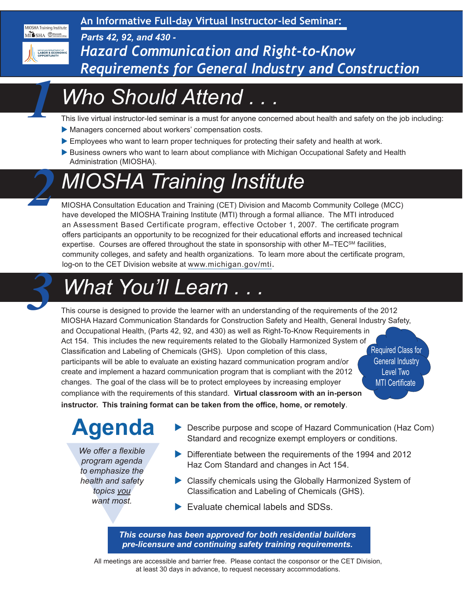**An Informative Full-day Virtual Instructor-led Seminar:**

*Parts 42, 92, and 430 -*



MIOSHA Training Institute MI SHA Macomb

*1*

*2*

*Hazard Communication and Right-to-Know Requirements for General Industry and Construction*

# *Who Should Attend . . .*

This live virtual instructor-led seminar is a must for anyone concerned about health and safety on the job including:

- Managers concerned about workers' compensation costs.
- Employees who want to learn proper techniques for protecting their safety and health at work.
- Business owners who want to learn about compliance with Michigan Occupational Safety and Health Administration (MIOSHA).

# *MIOSHA Training Institute*

MIOSHA Consultation Education and Training (CET) Division and Macomb Community College (MCC) have developed the MIOSHA Training Institute (MTI) through a formal alliance. The MTI introduced an Assessment Based Certificate program, effective October 1, 2007. The certificate program offers participants an opportunity to be recognized for their educational efforts and increased technical expertise. Courses are offered throughout the state in sponsorship with other M–TEC<sup>SM</sup> facilities, community colleges, and safety and health organizations. To learn more about the certificate program, log-on to the CET Division website at [www.michigan.gov/mti.](http://www.michigan.gov/mti)



### *What You'll Learn .*

Required Class for General Industry Level Two MTI Certificate This course is designed to provide the learner with an understanding of the requirements of the 2012 MIOSHA Hazard Communication Standards for Construction Safety and Health, General Industry Safety, and Occupational Health, (Parts 42, 92, and 430) as well as Right-To-Know Requirements in Act 154. This includes the new requirements related to the Globally Harmonized System of Classification and Labeling of Chemicals (GHS). Upon completion of this class, participants will be able to evaluate an existing hazard communication program and/or create and implement a hazard communication program that is compliant with the 2012 changes. The goal of the class will be to protect employees by increasing employer compliance with the requirements of this standard. **Virtual classroom with an in-person instructor. This training format can be taken from the office, home, or remotely**.

# **Agenda**

We offer a flexible<br>program agenda<br>to emphasize the<br>health and safety<br>topics you<br>want most.<br>This course *We offer a flexible program agenda to emphasize the health and safety topics you want most.*

- ▶ Describe purpose and scope of Hazard Communication (Haz Com) Standard and recognize exempt employers or conditions.
- $\triangleright$  Differentiate between the requirements of the 1994 and 2012 Haz Com Standard and changes in Act 154.
- $\triangleright$  Classify chemicals using the Globally Harmonized System of Classification and Labeling of Chemicals (GHS).
- $\blacktriangleright$  Evaluate chemical labels and SDSs.

*This course has been approved for both residential builders pre-licensure and continuing safety training requirements.*

All meetings are accessible and barrier free. Please contact the cosponsor or the CET Division, at least 30 days in advance, to request necessary accommodations.